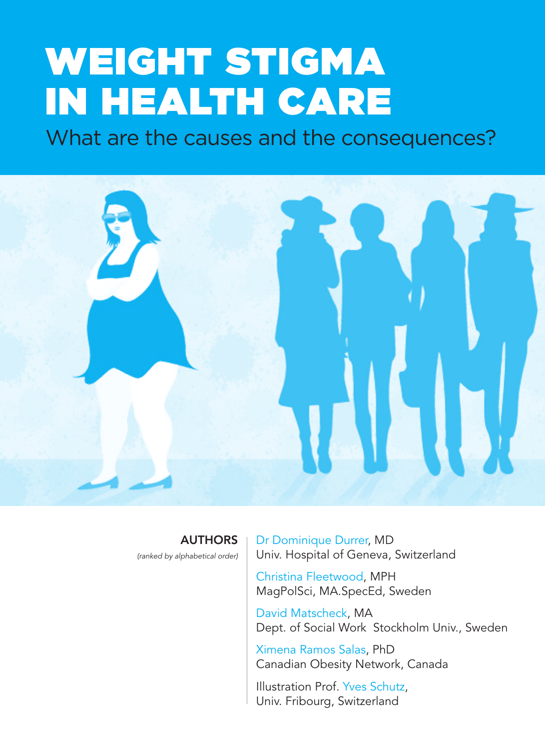# WEIGHT STIGMA IN HEALTH CARE

What are the causes and the consequences?



**AUTHORS** 

*(ranked by alphabetical order)*

Dr Dominique Durrer, MD Univ. Hospital of Geneva, Switzerland

Christina Fleetwood, MPH MagPolSci, MA.SpecEd, Sweden

David Matscheck, MA Dept. of Social Work Stockholm Univ., Sweden

Ximena Ramos Salas, PhD Canadian Obesity Network, Canada

Illustration Prof. Yves Schutz, Univ. Fribourg, Switzerland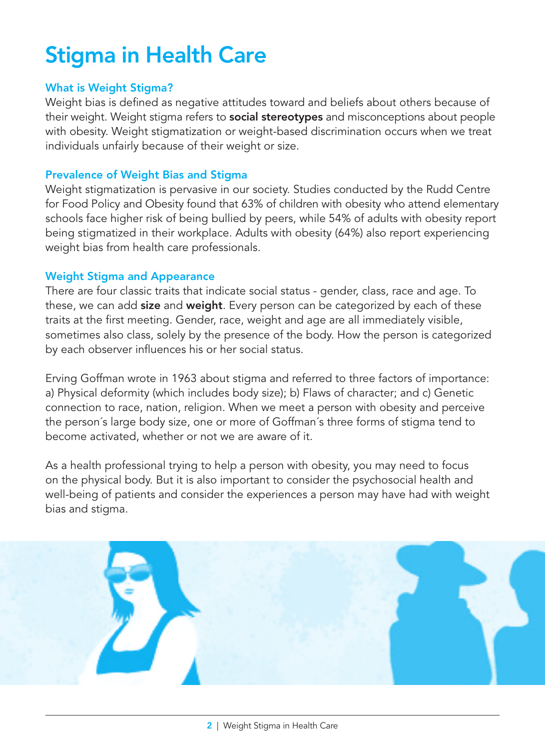# Stigma in Health Care

#### What is Weight Stigma?

Weight bias is defined as negative attitudes toward and beliefs about others because of their weight. Weight stigma refers to social stereotypes and misconceptions about people with obesity. Weight stigmatization or weight-based discrimination occurs when we treat individuals unfairly because of their weight or size.

#### Prevalence of Weight Bias and Stigma

Weight stigmatization is pervasive in our society. Studies conducted by the Rudd Centre for Food Policy and Obesity found that 63% of children with obesity who attend elementary schools face higher risk of being bullied by peers, while 54% of adults with obesity report being stigmatized in their workplace. Adults with obesity (64%) also report experiencing weight bias from health care professionals.

#### Weight Stigma and Appearance

There are four classic traits that indicate social status - gender, class, race and age. To these, we can add **size** and **weight**. Every person can be categorized by each of these traits at the first meeting. Gender, race, weight and age are all immediately visible, sometimes also class, solely by the presence of the body. How the person is categorized by each observer influences his or her social status.

Erving Goffman wrote in 1963 about stigma and referred to three factors of importance: a) Physical deformity (which includes body size); b) Flaws of character; and c) Genetic connection to race, nation, religion. When we meet a person with obesity and perceive the person´s large body size, one or more of Goffman´s three forms of stigma tend to become activated, whether or not we are aware of it.

As a health professional trying to help a person with obesity, you may need to focus on the physical body. But it is also important to consider the psychosocial health and well-being of patients and consider the experiences a person may have had with weight bias and stigma.

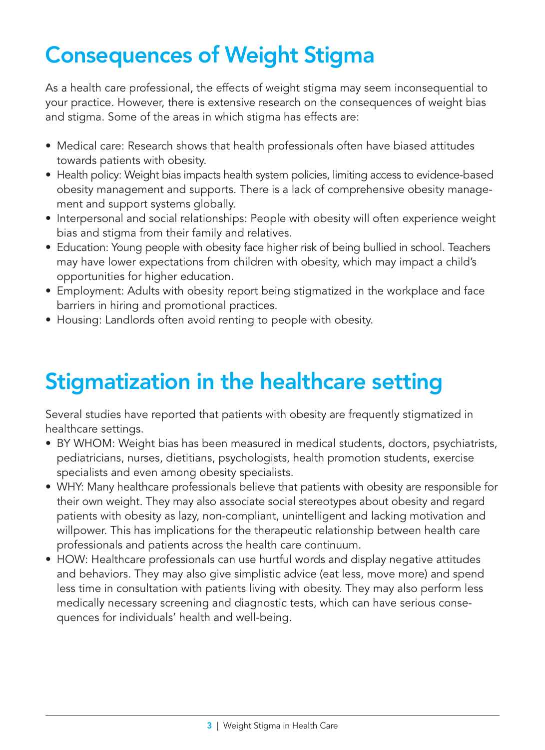# Consequences of Weight Stigma

As a health care professional, the effects of weight stigma may seem inconsequential to your practice. However, there is extensive research on the consequences of weight bias and stigma. Some of the areas in which stigma has effects are:

- Medical care: Research shows that health professionals often have biased attitudes towards patients with obesity.
- Health policy: Weight bias impacts health system policies, limiting access to evidence-based obesity management and supports. There is a lack of comprehensive obesity management and support systems globally.
- Interpersonal and social relationships: People with obesity will often experience weight bias and stigma from their family and relatives.
- Education: Young people with obesity face higher risk of being bullied in school. Teachers may have lower expectations from children with obesity, which may impact a child's opportunities for higher education.
- Employment: Adults with obesity report being stigmatized in the workplace and face barriers in hiring and promotional practices.
- Housing: Landlords often avoid renting to people with obesity.

# Stigmatization in the healthcare setting

Several studies have reported that patients with obesity are frequently stigmatized in healthcare settings.

- BY WHOM: Weight bias has been measured in medical students, doctors, psychiatrists, pediatricians, nurses, dietitians, psychologists, health promotion students, exercise specialists and even among obesity specialists.
- • WHY: Many healthcare professionals believe that patients with obesity are responsible for their own weight. They may also associate social stereotypes about obesity and regard patients with obesity as lazy, non-compliant, unintelligent and lacking motivation and willpower. This has implications for the therapeutic relationship between health care professionals and patients across the health care continuum.
- HOW: Healthcare professionals can use hurtful words and display negative attitudes and behaviors. They may also give simplistic advice (eat less, move more) and spend less time in consultation with patients living with obesity. They may also perform less medically necessary screening and diagnostic tests, which can have serious consequences for individuals' health and well-being.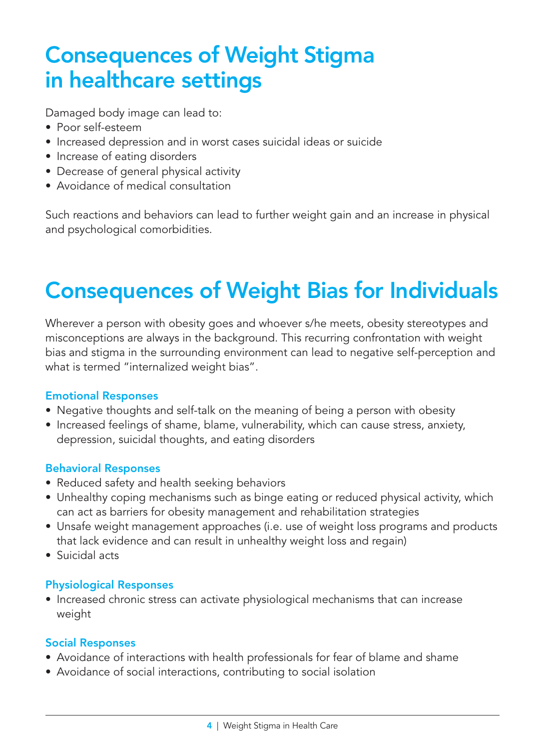### Consequences of Weight Stigma in healthcare settings

Damaged body image can lead to:

- Poor self-esteem
- Increased depression and in worst cases suicidal ideas or suicide
- Increase of eating disorders
- Decrease of general physical activity
- Avoidance of medical consultation

Such reactions and behaviors can lead to further weight gain and an increase in physical and psychological comorbidities.

# Consequences of Weight Bias for Individuals

Wherever a person with obesity goes and whoever s/he meets, obesity stereotypes and misconceptions are always in the background. This recurring confrontation with weight bias and stigma in the surrounding environment can lead to negative self-perception and what is termed "internalized weight bias".

#### Emotional Responses

- Negative thoughts and self-talk on the meaning of being a person with obesity
- Increased feelings of shame, blame, vulnerability, which can cause stress, anxiety, depression, suicidal thoughts, and eating disorders

#### Behavioral Responses

- Reduced safety and health seeking behaviors
- Unhealthy coping mechanisms such as binge eating or reduced physical activity, which can act as barriers for obesity management and rehabilitation strategies
- Unsafe weight management approaches (i.e. use of weight loss programs and products that lack evidence and can result in unhealthy weight loss and regain)
- • Suicidal acts

#### Physiological Responses

• Increased chronic stress can activate physiological mechanisms that can increase weight

#### Social Responses

- Avoidance of interactions with health professionals for fear of blame and shame
- Avoidance of social interactions, contributing to social isolation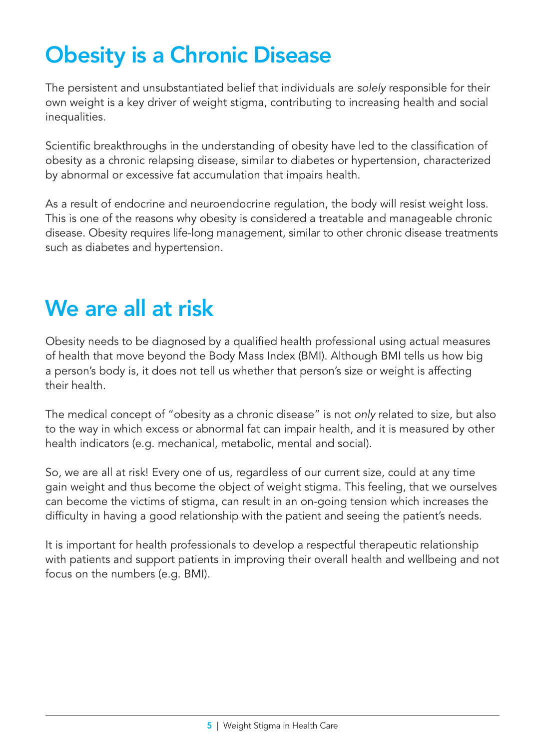# Obesity is a Chronic Disease

The persistent and unsubstantiated belief that individuals are *solely* responsible for their own weight is a key driver of weight stigma, contributing to increasing health and social inequalities.

Scientific breakthroughs in the understanding of obesity have led to the classification of obesity as a chronic relapsing disease, similar to diabetes or hypertension, characterized by abnormal or excessive fat accumulation that impairs health.

As a result of endocrine and neuroendocrine regulation, the body will resist weight loss. This is one of the reasons why obesity is considered a treatable and manageable chronic disease. Obesity requires life-long management, similar to other chronic disease treatments such as diabetes and hypertension.

### We are all at risk

Obesity needs to be diagnosed by a qualified health professional using actual measures of health that move beyond the Body Mass Index (BMI). Although BMI tells us how big a person's body is, it does not tell us whether that person's size or weight is affecting their health.

The medical concept of "obesity as a chronic disease" is not *only* related to size, but also to the way in which excess or abnormal fat can impair health, and it is measured by other health indicators (e.g. mechanical, metabolic, mental and social).

So, we are all at risk! Every one of us, regardless of our current size, could at any time gain weight and thus become the object of weight stigma. This feeling, that we ourselves can become the victims of stigma, can result in an on-going tension which increases the difficulty in having a good relationship with the patient and seeing the patient's needs.

It is important for health professionals to develop a respectful therapeutic relationship with patients and support patients in improving their overall health and wellbeing and not focus on the numbers (e.g. BMI).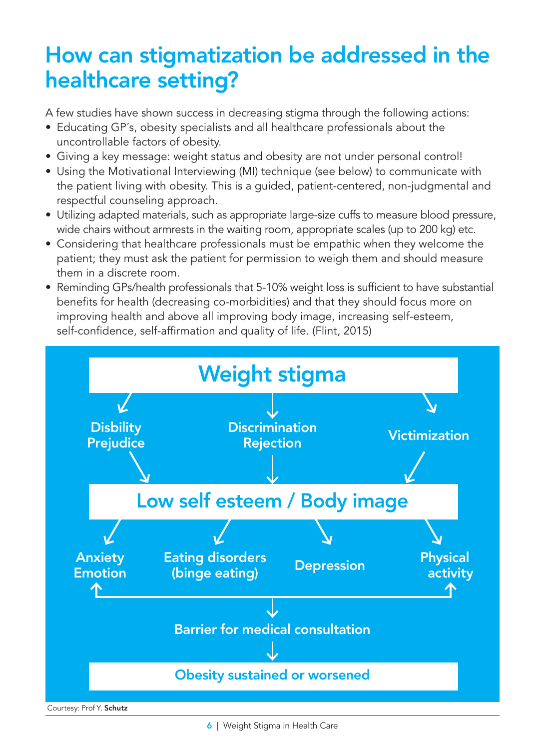### How can stigmatization be addressed in the healthcare setting?

A few studies have shown success in decreasing stigma through the following actions:

- Educating GP's, obesity specialists and all healthcare professionals about the uncontrollable factors of obesity.
- • Giving a key message: weight status and obesity are not under personal control!
- • Using the Motivational Interviewing (MI) technique (see below) to communicate with the patient living with obesity. This is a guided, patient-centered, non-judgmental and respectful counseling approach.
- • Utilizing adapted materials, such as appropriate large-size cuffs to measure blood pressure, wide chairs without armrests in the waiting room, appropriate scales (up to 200 kg) etc.
- • Considering that healthcare professionals must be empathic when they welcome the patient; they must ask the patient for permission to weigh them and should measure them in a discrete room.
- Reminding GPs/health professionals that 5-10% weight loss is sufficient to have substantial benefits for health (decreasing co-morbidities) and that they should focus more on improving health and above all improving body image, increasing self-esteem, self-confidence, self-affirmation and quality of life. (Flint, 2015)



6 | Weight Stigma in Health Care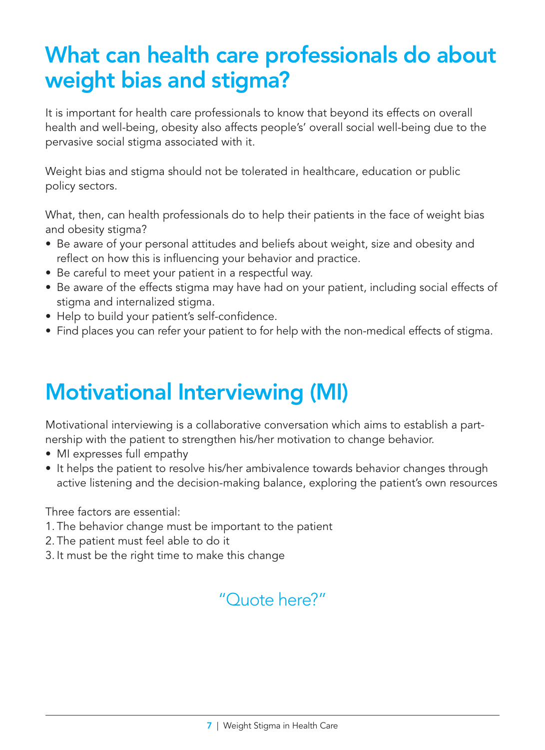### What can health care professionals do about weight bias and stigma?

It is important for health care professionals to know that beyond its effects on overall health and well-being, obesity also affects people's' overall social well-being due to the pervasive social stigma associated with it.

Weight bias and stigma should not be tolerated in healthcare, education or public policy sectors.

What, then, can health professionals do to help their patients in the face of weight bias and obesity stigma?

- Be aware of your personal attitudes and beliefs about weight, size and obesity and reflect on how this is influencing your behavior and practice.
- Be careful to meet your patient in a respectful way.
- Be aware of the effects stigma may have had on your patient, including social effects of stigma and internalized stigma.
- Help to build your patient's self-confidence.
- • Find places you can refer your patient to for help with the non-medical effects of stigma.

### Motivational Interviewing (MI)

Motivational interviewing is a collaborative conversation which aims to establish a partnership with the patient to strengthen his/her motivation to change behavior.

- MI expresses full empathy
- It helps the patient to resolve his/her ambivalence towards behavior changes through active listening and the decision-making balance, exploring the patient's own resources

Three factors are essential:

- 1. The behavior change must be important to the patient
- 2. The patient must feel able to do it
- 3. It must be the right time to make this change

#### "Quote here?"